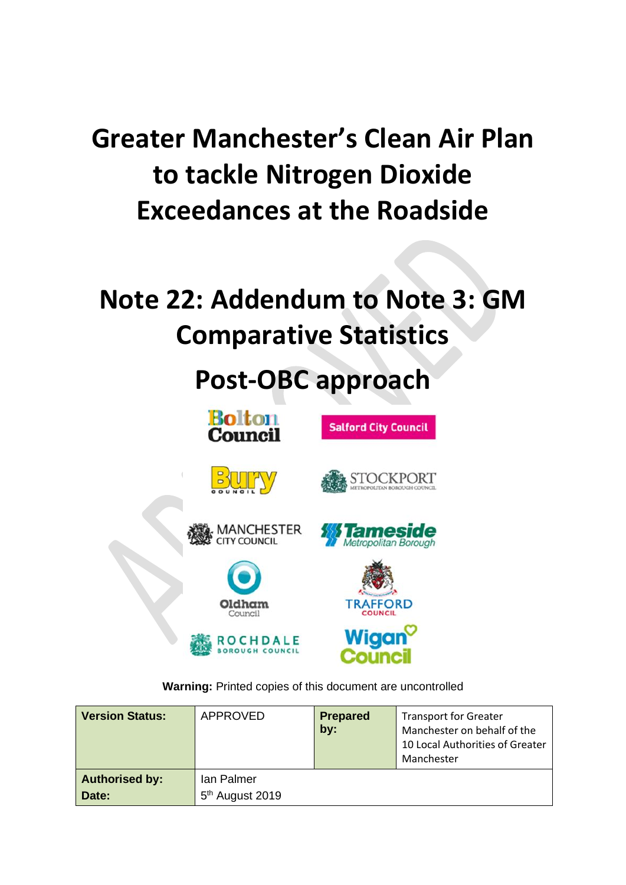# **Greater Manchester's Clean Air Plan to tackle Nitrogen Dioxide Exceedances at the Roadside**

# **Note 22: Addendum to Note 3: GM Comparative Statistics**

# **Post-OBC approach**



**Warning:** Printed copies of this document are uncontrolled

| <b>Version Status:</b>         | APPROVED                                  | <b>Prepared</b><br>by: | <b>Transport for Greater</b><br>Manchester on behalf of the<br>10 Local Authorities of Greater<br>Manchester |
|--------------------------------|-------------------------------------------|------------------------|--------------------------------------------------------------------------------------------------------------|
| <b>Authorised by:</b><br>Date: | Ian Palmer<br>5 <sup>th</sup> August 2019 |                        |                                                                                                              |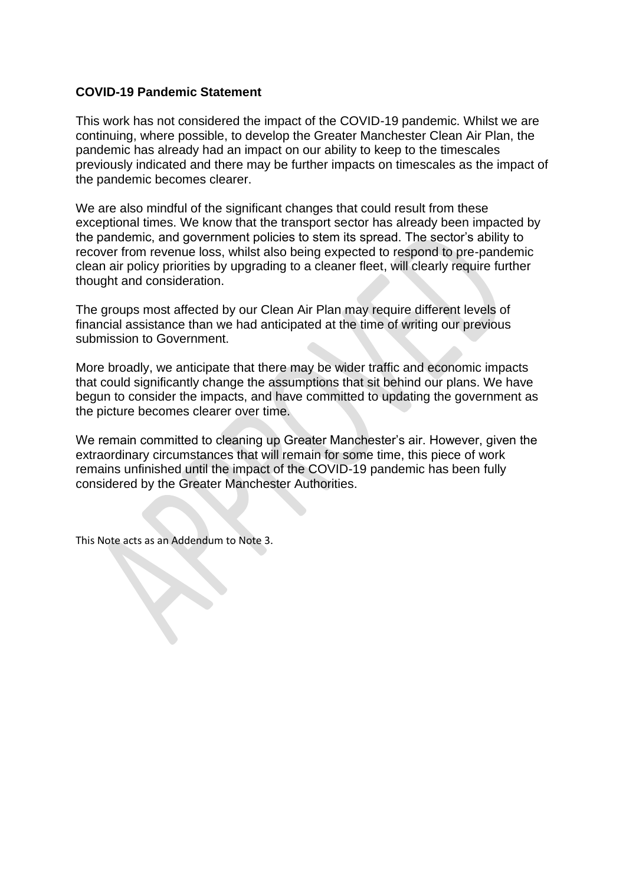# **COVID-19 Pandemic Statement**

This work has not considered the impact of the COVID-19 pandemic. Whilst we are continuing, where possible, to develop the Greater Manchester Clean Air Plan, the pandemic has already had an impact on our ability to keep to the timescales previously indicated and there may be further impacts on timescales as the impact of the pandemic becomes clearer.

We are also mindful of the significant changes that could result from these exceptional times. We know that the transport sector has already been impacted by the pandemic, and government policies to stem its spread. The sector's ability to recover from revenue loss, whilst also being expected to respond to pre-pandemic clean air policy priorities by upgrading to a cleaner fleet, will clearly require further thought and consideration.

The groups most affected by our Clean Air Plan may require different levels of financial assistance than we had anticipated at the time of writing our previous submission to Government.

More broadly, we anticipate that there may be wider traffic and economic impacts that could significantly change the assumptions that sit behind our plans. We have begun to consider the impacts, and have committed to updating the government as the picture becomes clearer over time.

We remain committed to cleaning up Greater Manchester's air. However, given the extraordinary circumstances that will remain for some time, this piece of work remains unfinished until the impact of the COVID-19 pandemic has been fully considered by the Greater Manchester Authorities.

This Note acts as an Addendum to Note 3.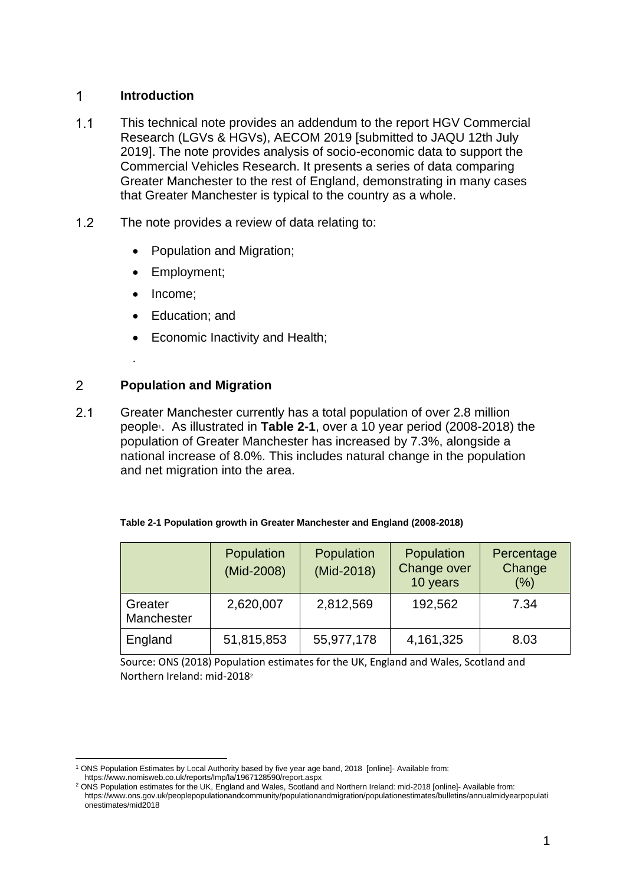### $\mathbf 1$ **Introduction**

- $1.1$ This technical note provides an addendum to the report HGV Commercial Research (LGVs & HGVs), AECOM 2019 [submitted to JAQU 12th July 2019]. The note provides analysis of socio-economic data to support the Commercial Vehicles Research. It presents a series of data comparing Greater Manchester to the rest of England, demonstrating in many cases that Greater Manchester is typical to the country as a whole.
- $1.2$ The note provides a review of data relating to:
	- Population and Migration;
	- Employment;
	- Income:

.

- Education; and
- Economic Inactivity and Health;

## $\overline{2}$ **Population and Migration**

 $2.1$ Greater Manchester currently has a total population of over 2.8 million people<sup>1</sup> . As illustrated in **[Table 2-1](#page-2-0)**, over a 10 year period (2008-2018) the population of Greater Manchester has increased by 7.3%, alongside a national increase of 8.0%. This includes natural change in the population and net migration into the area.

<span id="page-2-0"></span>

| Table 2-1 Population growth in Greater Manchester and England (2008-2018) |  |  |
|---------------------------------------------------------------------------|--|--|
|                                                                           |  |  |

|                       | Population<br>(Mid-2008) | Population<br>(Mid-2018) | Population<br>Change over<br>10 years | Percentage<br>Change<br>(%) |
|-----------------------|--------------------------|--------------------------|---------------------------------------|-----------------------------|
| Greater<br>Manchester | 2,620,007                | 2,812,569                | 192,562                               | 7.34                        |
| England               | 51,815,853               | 55,977,178               | 4, 161, 325                           | 8.03                        |

Source: ONS (2018) Population estimates for the UK, England and Wales, Scotland and Northern Ireland: mid-2018<sup>2</sup>

<sup>1</sup> ONS Population Estimates by Local Authority based by five year age band, 2018 [online]- Available from: https://www.nomisweb.co.uk/reports/lmp/la/1967128590/report.aspx

<sup>2</sup> ONS Population estimates for the UK, England and Wales, Scotland and Northern Ireland: mid-2018 [online]- Available from: https://www.ons.gov.uk/peoplepopulationandcommunity/populationandmigration/populationestimates/bulletins/annualmidyearpopulati onestimates/mid2018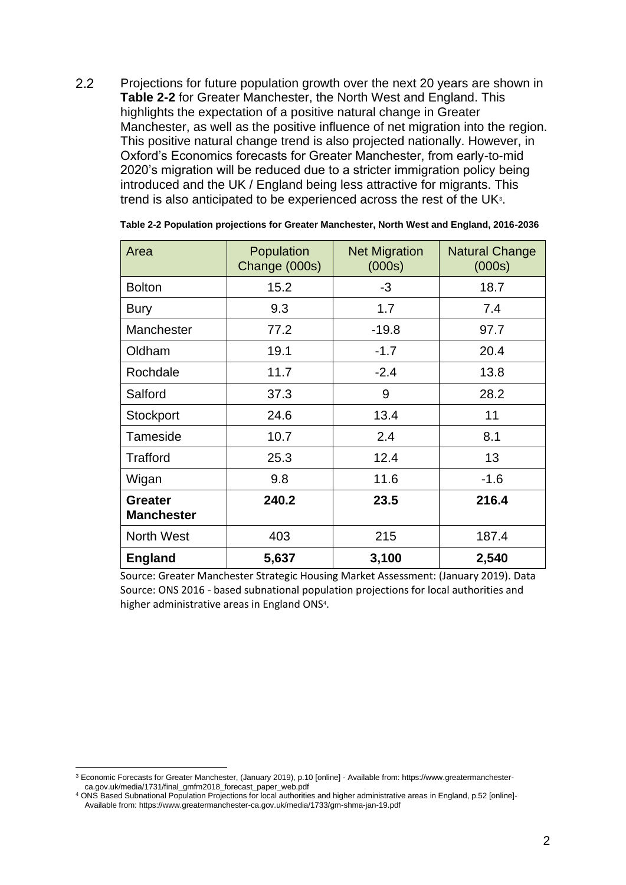$2.2$ Projections for future population growth over the next 20 years are shown in **[Table 2-2](#page-3-0)** for Greater Manchester, the North West and England. This highlights the expectation of a positive natural change in Greater Manchester, as well as the positive influence of net migration into the region. This positive natural change trend is also projected nationally. However, in Oxford's Economics forecasts for Greater Manchester, from early-to-mid 2020's migration will be reduced due to a stricter immigration policy being introduced and the UK / England being less attractive for migrants. This trend is also anticipated to be experienced across the rest of the UK $3$ .

| Area                                | Population<br>Change (000s) | <b>Net Migration</b><br>(000s) | <b>Natural Change</b><br>(000s) |
|-------------------------------------|-----------------------------|--------------------------------|---------------------------------|
| <b>Bolton</b>                       | 15.2                        | -3                             | 18.7                            |
| <b>Bury</b>                         | 9.3                         | 1.7                            | 7.4                             |
| Manchester                          | 77.2                        | $-19.8$                        | 97.7                            |
| Oldham                              | 19.1                        | $-1.7$                         | 20.4                            |
| Rochdale                            | 11.7                        | $-2.4$                         | 13.8                            |
| Salford                             | 37.3                        | 9                              | 28.2                            |
| Stockport                           | 24.6                        | 13.4                           | 11                              |
| Tameside                            | 10.7                        | 2.4                            | 8.1                             |
| Trafford                            | 25.3                        | 12.4                           | 13                              |
| Wigan                               | 9.8                         | 11.6                           | $-1.6$                          |
| <b>Greater</b><br><b>Manchester</b> | 240.2                       | 23.5                           | 216.4                           |
| North West                          | 403                         | 215                            | 187.4                           |
| <b>England</b>                      | 5,637                       | 3,100                          | 2,540                           |

<span id="page-3-0"></span>**Table 2-2 Population projections for Greater Manchester, North West and England, 2016-2036**

Source: Greater Manchester Strategic Housing Market Assessment: (January 2019). Data Source: ONS 2016 - based subnational population projections for local authorities and higher administrative areas in England ONS<sup>4</sup> .

<sup>3</sup> Economic Forecasts for Greater Manchester, (January 2019), p.10 [online] - Available from: https://www.greatermanchesterca.gov.uk/media/1731/final\_gmfm2018\_forecast\_paper\_web.pdf

<sup>4</sup> ONS Based Subnational Population Projections for local authorities and higher administrative areas in England, p.52 [online]- Available from: https://www.greatermanchester-ca.gov.uk/media/1733/gm-shma-jan-19.pdf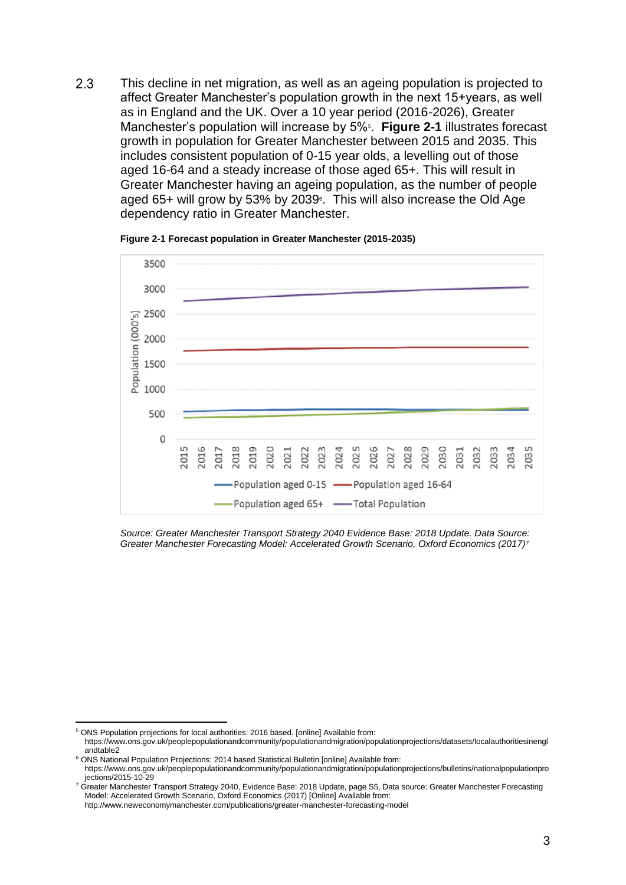2.3 This decline in net migration, as well as an ageing population is projected to affect Greater Manchester's population growth in the next 15+years, as well as in England and the UK. Over a 10 year period (2016-2026), Greater Manchester's population will increase by 5%<sup>5</sup>. [Figure 2-1](#page-4-0) illustrates forecast growth in population for Greater Manchester between 2015 and 2035. This includes consistent population of 0-15 year olds, a levelling out of those aged 16-64 and a steady increase of those aged 65+. This will result in Greater Manchester having an ageing population, as the number of people aged 65+ will grow by 53% by 2039<sup>6</sup>. This will also increase the Old Age dependency ratio in Greater Manchester.

<span id="page-4-0"></span>

**Figure 2-1 Forecast population in Greater Manchester (2015-2035)**

*Source: Greater Manchester Transport Strategy 2040 Evidence Base: 2018 Update. Data Source: Greater Manchester Forecasting Model: Accelerated Growth Scenario, Oxford Economics (2017)<sup>7</sup>*

<sup>5</sup> ONS Population projections for local authorities: 2016 based. [online] Available from:

https://www.ons.gov.uk/peoplepopulationandcommunity/populationandmigration/populationprojections/datasets/localauthoritiesinengl andtable2 <sup>6</sup> ONS National Population Projections: 2014 based Statistical Bulletin [online] Available from:

https://www.ons.gov.uk/peoplepopulationandcommunity/populationandmigration/populationprojections/bulletins/nationalpopulationpro jections/2015-10-29

<sup>&</sup>lt;sup>7</sup> Greater Manchester Transport Strategy 2040, Evidence Base: 2018 Update, page S5, Data source: Greater Manchester Forecasting Model: Accelerated Growth Scenario, Oxford Economics (2017) [Online] Available from:

http://www.neweconomymanchester.com/publications/greater-manchester-forecasting-model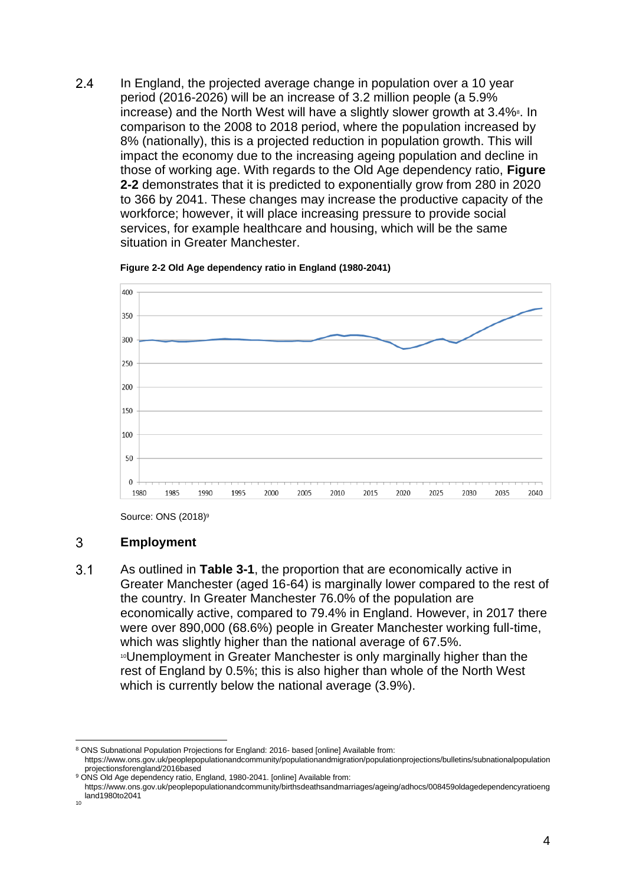$2.4$ In England, the projected average change in population over a 10 year period (2016-2026) will be an increase of 3.2 million people (a 5.9% increase) and the North West will have a slightly slower growth at 3.4% In comparison to the 2008 to 2018 period, where the population increased by 8% (nationally), this is a projected reduction in population growth. This will impact the economy due to the increasing ageing population and decline in those of working age. With regards to the Old Age dependency ratio, **[Figure](#page-5-0)  [2-2](#page-5-0)** demonstrates that it is predicted to exponentially grow from 280 in 2020 to 366 by 2041. These changes may increase the productive capacity of the workforce; however, it will place increasing pressure to provide social services, for example healthcare and housing, which will be the same situation in Greater Manchester.

<span id="page-5-0"></span>



Source: ONS (2018)<sup>9</sup>

# 3 **Employment**

 $3.1$ As outlined in **[Table 3-1](#page-6-0)**, the proportion that are economically active in Greater Manchester (aged 16-64) is marginally lower compared to the rest of the country. In Greater Manchester 76.0% of the population are economically active, compared to 79.4% in England. However, in 2017 there were over 890,000 (68.6%) people in Greater Manchester working full-time, which was slightly higher than the national average of 67.5%. <sup>10</sup>Unemployment in Greater Manchester is only marginally higher than the rest of England by 0.5%; this is also higher than whole of the North West which is currently below the national average (3.9%).

<sup>8</sup> ONS Subnational Population Projections for England: 2016- based [online] Available from: https://www.ons.gov.uk/peoplepopulationandcommunity/populationandmigration/populationprojections/bulletins/subnationalpopulation

projectionsforengland/2016based

<sup>&</sup>lt;sup>9</sup> ONS Old Age dependency ratio, England, 1980-2041. [online] Available from:

https://www.ons.gov.uk/peoplepopulationandcommunity/birthsdeathsandmarriages/ageing/adhocs/008459oldagedependencyratioeng land1980to2041 10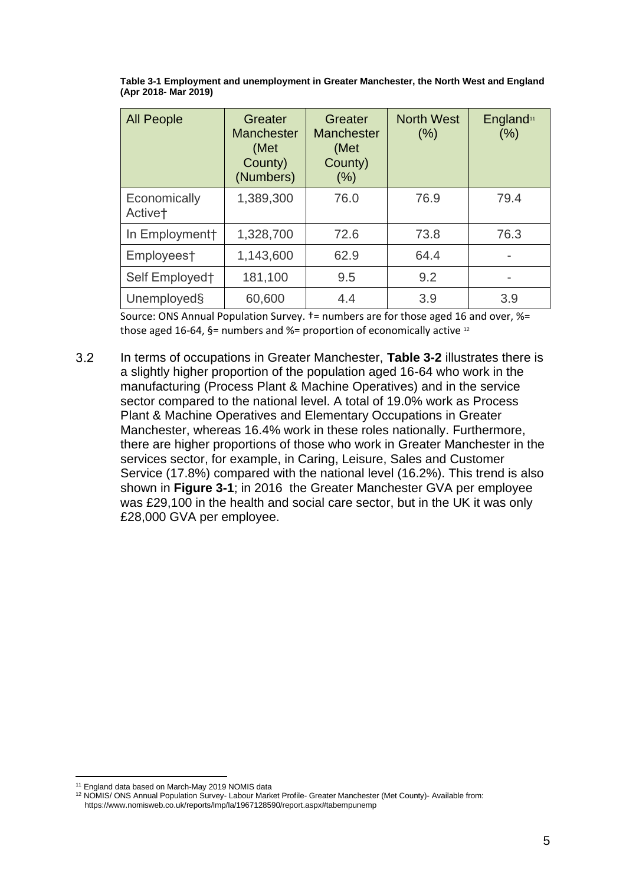| <b>All People</b>                   | Greater<br><b>Manchester</b><br>(Met<br>County)<br>(Numbers) | Greater<br><b>Manchester</b><br>(Met<br>County)<br>(% ) | <b>North West</b><br>(% ) | England <sup>11</sup><br>(% ) |
|-------------------------------------|--------------------------------------------------------------|---------------------------------------------------------|---------------------------|-------------------------------|
| Economically<br>Active <sup>+</sup> | 1,389,300                                                    | 76.0                                                    | 76.9                      | 79.4                          |
| In Employment+                      | 1,328,700                                                    | 72.6                                                    | 73.8                      | 76.3                          |
| Employees†                          | 1,143,600                                                    | 62.9                                                    | 64.4                      |                               |
| Self Employed†                      | 181,100                                                      | 9.5                                                     | 9.2                       | -                             |
| Unemployed§                         | 60,600                                                       | 4.4                                                     | 3.9                       | 3.9                           |

<span id="page-6-0"></span>**Table 3-1 Employment and unemployment in Greater Manchester, the North West and England (Apr 2018- Mar 2019)**

Source: ONS Annual Population Survey. †= numbers are for those aged 16 and over, %= those aged 16-64, §= numbers and %= proportion of economically active  $12$ 

 $3.2$ In terms of occupations in Greater Manchester, **[Table 3-2](#page-7-0)** illustrates there is a slightly higher proportion of the population aged 16-64 who work in the manufacturing (Process Plant & Machine Operatives) and in the service sector compared to the national level. A total of 19.0% work as Process Plant & Machine Operatives and Elementary Occupations in Greater Manchester, whereas 16.4% work in these roles nationally. Furthermore, there are higher proportions of those who work in Greater Manchester in the services sector, for example, in Caring, Leisure, Sales and Customer Service (17.8%) compared with the national level (16.2%). This trend is also shown in **[Figure 3-1](#page-8-0)**; in 2016 the Greater Manchester GVA per employee was £29,100 in the health and social care sector, but in the UK it was only £28,000 GVA per employee.

<sup>11</sup> England data based on March-May 2019 NOMIS data

<sup>12</sup> NOMIS/ ONS Annual Population Survey- Labour Market Profile- Greater Manchester (Met County)- Available from: https://www.nomisweb.co.uk/reports/lmp/la/1967128590/report.aspx#tabempunemp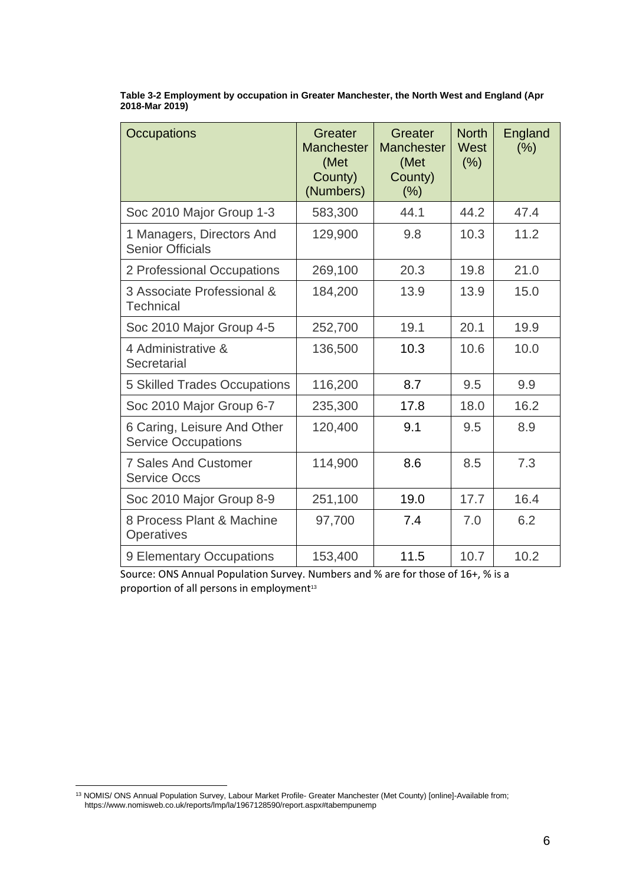| <b>Occupations</b>                                        | Greater<br><b>Manchester</b><br>(Met<br>County)<br>(Numbers) | Greater<br><b>Manchester</b><br>(Met<br>County)<br>$(\%)$ | <b>North</b><br>West<br>(%) | England<br>(%) |
|-----------------------------------------------------------|--------------------------------------------------------------|-----------------------------------------------------------|-----------------------------|----------------|
| Soc 2010 Major Group 1-3                                  | 583,300                                                      | 44.1                                                      | 44.2                        | 47.4           |
| 1 Managers, Directors And<br><b>Senior Officials</b>      | 129,900                                                      | 9.8                                                       | 10.3                        | 11.2           |
| 2 Professional Occupations                                | 269,100                                                      | 20.3                                                      | 19.8                        | 21.0           |
| 3 Associate Professional &<br><b>Technical</b>            | 184,200                                                      | 13.9                                                      | 13.9                        | 15.0           |
| Soc 2010 Major Group 4-5                                  | 252,700                                                      | 19.1                                                      | 20.1                        | 19.9           |
| 4 Administrative &<br>Secretarial                         | 136,500                                                      | 10.3                                                      | 10.6                        | 10.0           |
| <b>5 Skilled Trades Occupations</b>                       | 116,200                                                      | 8.7                                                       | 9.5                         | 9.9            |
| Soc 2010 Major Group 6-7                                  | 235,300                                                      | 17.8                                                      | 18.0                        | 16.2           |
| 6 Caring, Leisure And Other<br><b>Service Occupations</b> | 120,400                                                      | 9.1                                                       | 9.5                         | 8.9            |
| <b>7 Sales And Customer</b><br><b>Service Occs</b>        | 114,900                                                      | 8.6                                                       | 8.5                         | 7.3            |
| Soc 2010 Major Group 8-9                                  | 251,100                                                      | 19.0                                                      | 17.7                        | 16.4           |
| 8 Process Plant & Machine<br><b>Operatives</b>            | 97,700                                                       | 7.4                                                       | 7.0                         | 6.2            |
| 9 Elementary Occupations                                  | 153,400                                                      | 11.5                                                      | 10.7                        | 10.2           |

<span id="page-7-0"></span>**Table 3-2 Employment by occupation in Greater Manchester, the North West and England (Apr 2018-Mar 2019)**

Source: ONS Annual Population Survey. Numbers and % are for those of 16+, % is a proportion of all persons in employment<sup>13</sup>

<sup>13</sup> NOMIS/ ONS Annual Population Survey, Labour Market Profile- Greater Manchester (Met County) [online]-Available from; https://www.nomisweb.co.uk/reports/lmp/la/1967128590/report.aspx#tabempunemp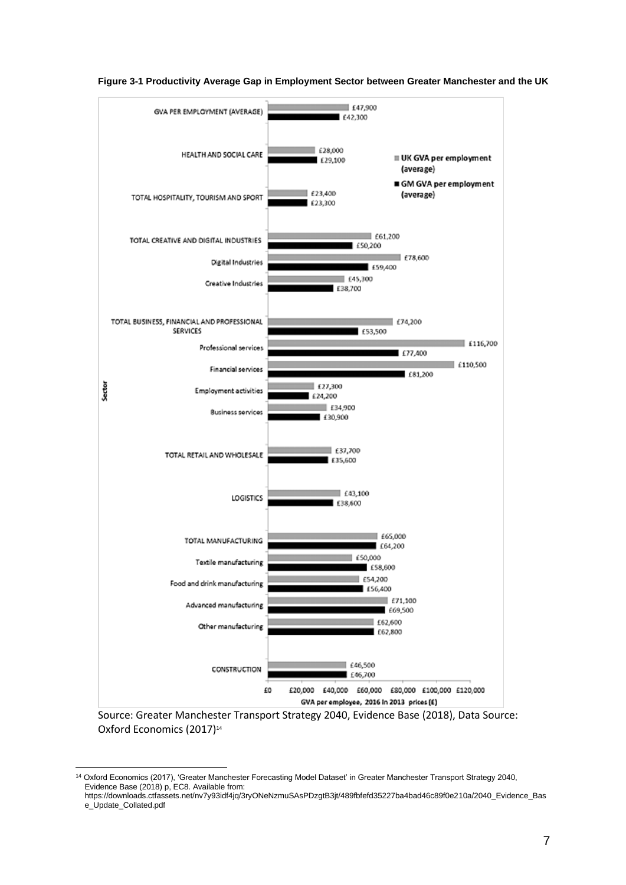

<span id="page-8-0"></span>**Figure 3-1 Productivity Average Gap in Employment Sector between Greater Manchester and the UK**

Source: Greater Manchester Transport Strategy 2040, Evidence Base (2018), Data Source: Oxford Economics (2017)<sup>14</sup>

<sup>14</sup> Oxford Economics (2017), 'Greater Manchester Forecasting Model Dataset' in Greater Manchester Transport Strategy 2040, Evidence Base (2018) p, EC8. Available from:

https://downloads.ctfassets.net/nv7y93idf4jq/3ryONeNzmuSAsPDzgtB3jt/489fbfefd35227ba4bad46c89f0e210a/2040\_Evidence\_Bas e\_Update\_Collated.pdf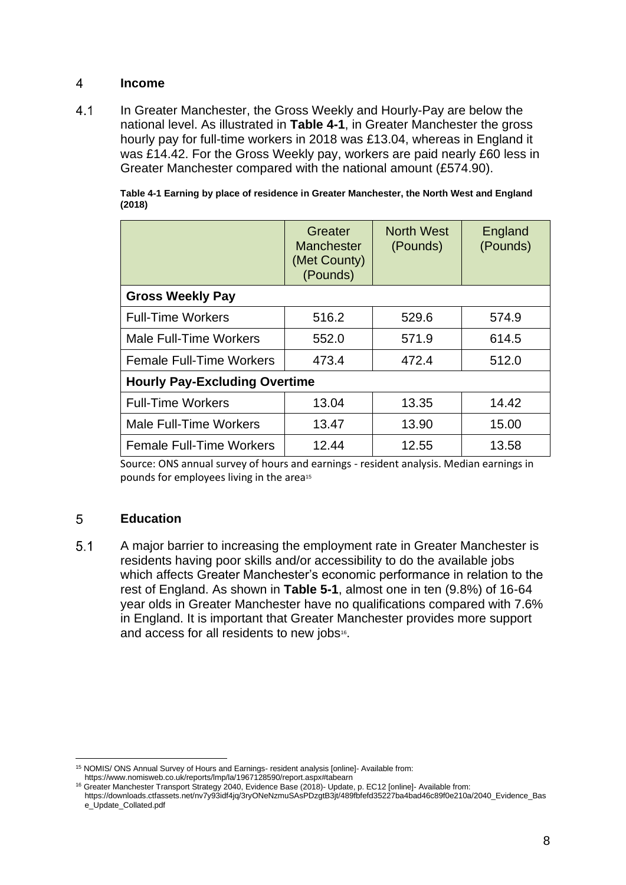### $\overline{4}$ **Income**

 $4.1$ In Greater Manchester, the Gross Weekly and Hourly-Pay are below the national level. As illustrated in **[Table 4-1](#page-9-0)**, in Greater Manchester the gross hourly pay for full-time workers in 2018 was £13.04, whereas in England it was £14.42. For the Gross Weekly pay, workers are paid nearly £60 less in Greater Manchester compared with the national amount (£574.90).

|                                      | Greater<br><b>Manchester</b><br>(Met County)<br>(Pounds) | <b>North West</b><br>(Pounds) | England<br>(Pounds) |  |
|--------------------------------------|----------------------------------------------------------|-------------------------------|---------------------|--|
| <b>Gross Weekly Pay</b>              |                                                          |                               |                     |  |
| <b>Full-Time Workers</b>             | 516.2                                                    | 529.6                         | 574.9               |  |
| <b>Male Full-Time Workers</b>        | 552.0                                                    | 571.9                         | 614.5               |  |
| <b>Female Full-Time Workers</b>      | 473.4                                                    | 472.4                         | 512.0               |  |
| <b>Hourly Pay-Excluding Overtime</b> |                                                          |                               |                     |  |
| <b>Full-Time Workers</b>             | 13.04                                                    | 13.35                         | 14.42               |  |
| Male Full-Time Workers               | 13.47                                                    | 13.90                         | 15.00               |  |
| <b>Female Full-Time Workers</b>      | 12.44                                                    | 12.55                         | 13.58               |  |

<span id="page-9-0"></span>**Table 4-1 Earning by place of residence in Greater Manchester, the North West and England (2018)**

Source: ONS annual survey of hours and earnings - resident analysis. Median earnings in pounds for employees living in the area<sup>15</sup>

## 5 **Education**

 $5.1$ A major barrier to increasing the employment rate in Greater Manchester is residents having poor skills and/or accessibility to do the available jobs which affects Greater Manchester's economic performance in relation to the rest of England. As shown in **[Table 5-1](#page-10-0)**, almost one in ten (9.8%) of 16-64 year olds in Greater Manchester have no qualifications compared with 7.6% in England. It is important that Greater Manchester provides more support and access for all residents to new jobs<sup>16</sup>.

<sup>15</sup> NOMIS/ ONS Annual Survey of Hours and Earnings- resident analysis [online]- Available from:

https://www.nomisweb.co.uk/reports/lmp/la/1967128590/report.aspx#tabearn

<sup>16</sup> Greater Manchester Transport Strategy 2040, Evidence Base (2018)- Update, p. EC12 [online]- Available from: https://downloads.ctfassets.net/nv7y93idf4jq/3ryONeNzmuSAsPDzgtB3jt/489fbfefd35227ba4bad46c89f0e210a/2040\_Evidence\_Bas e\_Update\_Collated.pdf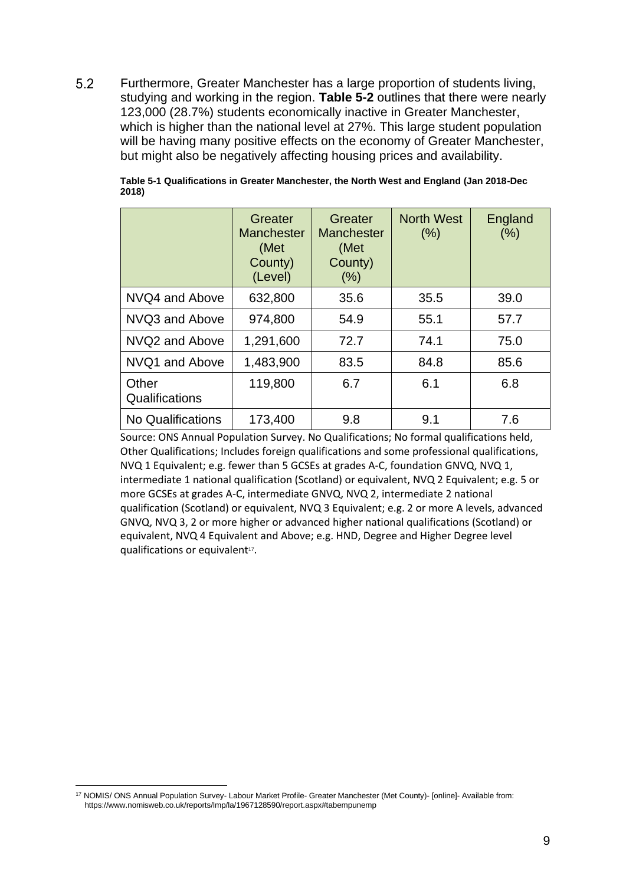$5.2$ Furthermore, Greater Manchester has a large proportion of students living, studying and working in the region. **[Table 5-2](#page-11-0)** outlines that there were nearly 123,000 (28.7%) students economically inactive in Greater Manchester, which is higher than the national level at 27%. This large student population will be having many positive effects on the economy of Greater Manchester, but might also be negatively affecting housing prices and availability.

|                          | Greater<br><b>Manchester</b><br>(Met<br>County)<br>(Level) | Greater<br><b>Manchester</b><br>(Met<br>County)<br>(% ) | <b>North West</b><br>$(\% )$ | England<br>$(\% )$ |
|--------------------------|------------------------------------------------------------|---------------------------------------------------------|------------------------------|--------------------|
| NVQ4 and Above           | 632,800                                                    | 35.6                                                    | 35.5                         | 39.0               |
| NVQ3 and Above           | 974,800                                                    | 54.9                                                    | 55.1                         | 57.7               |
| NVQ2 and Above           | 1,291,600                                                  | 72.7                                                    | 74.1                         | 75.0               |
| NVQ1 and Above           | 1,483,900                                                  | 83.5                                                    | 84.8                         | 85.6               |
| Other<br>Qualifications  | 119,800                                                    | 6.7                                                     | 6.1                          | 6.8                |
| <b>No Qualifications</b> | 173,400                                                    | 9.8                                                     | 9.1                          | 7.6                |

<span id="page-10-0"></span>**Table 5-1 Qualifications in Greater Manchester, the North West and England (Jan 2018-Dec 2018)**

Source: ONS Annual Population Survey. No Qualifications; No formal qualifications held, Other Qualifications; Includes foreign qualifications and some professional qualifications, NVQ 1 Equivalent; e.g. fewer than 5 GCSEs at grades A-C, foundation GNVQ, NVQ 1, intermediate 1 national qualification (Scotland) or equivalent, NVQ 2 Equivalent; e.g. 5 or more GCSEs at grades A-C, intermediate GNVQ, NVQ 2, intermediate 2 national qualification (Scotland) or equivalent, NVQ 3 Equivalent; e.g. 2 or more A levels, advanced GNVQ, NVQ 3, 2 or more higher or advanced higher national qualifications (Scotland) or equivalent, NVQ 4 Equivalent and Above; e.g. HND, Degree and Higher Degree level qualifications or equivalent<sup>17</sup>.

<sup>17</sup> NOMIS/ ONS Annual Population Survey- Labour Market Profile- Greater Manchester (Met County)- [online]- Available from: https://www.nomisweb.co.uk/reports/lmp/la/1967128590/report.aspx#tabempunemp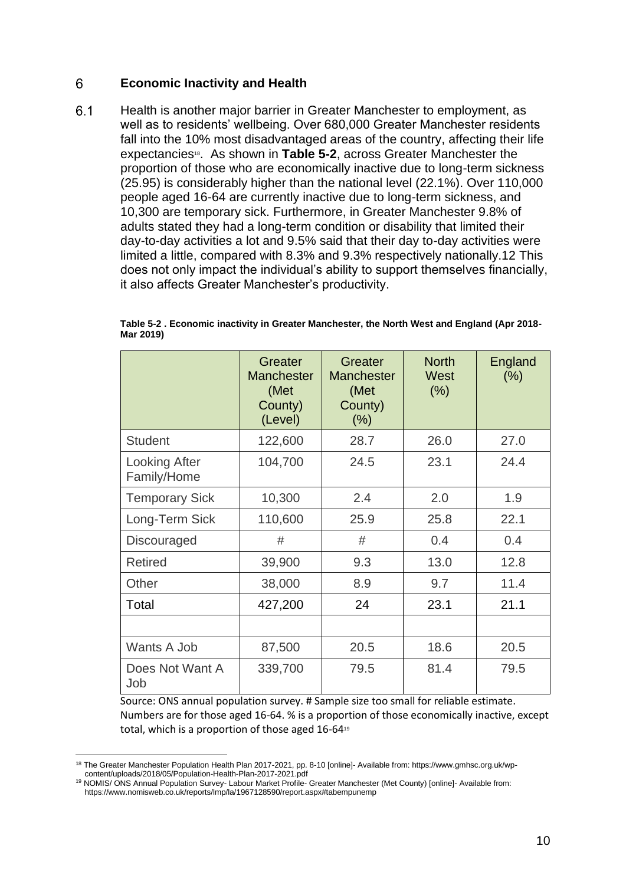### 6 **Economic Inactivity and Health**

 $6.1$ Health is another major barrier in Greater Manchester to employment, as well as to residents' wellbeing. Over 680,000 Greater Manchester residents fall into the 10% most disadvantaged areas of the country, affecting their life expectancies<sup>18</sup>. As shown in **[Table 5-2](#page-11-0)**, across Greater Manchester the proportion of those who are economically inactive due to long-term sickness (25.95) is considerably higher than the national level (22.1%). Over 110,000 people aged 16-64 are currently inactive due to long-term sickness, and 10,300 are temporary sick. Furthermore, in Greater Manchester 9.8% of adults stated they had a long-term condition or disability that limited their day-to-day activities a lot and 9.5% said that their day to-day activities were limited a little, compared with 8.3% and 9.3% respectively nationally.12 This does not only impact the individual's ability to support themselves financially, it also affects Greater Manchester's productivity.

|                                     | Greater<br><b>Manchester</b><br>(Met<br>County)<br>(Level) | Greater<br><b>Manchester</b><br>(Met<br>County)<br>$(\% )$ | <b>North</b><br>West<br>(% ) | England<br>(% ) |
|-------------------------------------|------------------------------------------------------------|------------------------------------------------------------|------------------------------|-----------------|
| <b>Student</b>                      | 122,600                                                    | 28.7                                                       | 26.0                         | 27.0            |
| <b>Looking After</b><br>Family/Home | 104,700                                                    | 24.5                                                       | 23.1                         | 24.4            |
| <b>Temporary Sick</b>               | 10,300                                                     | 2.4                                                        | 2.0                          | 1.9             |
| Long-Term Sick                      | 110,600                                                    | 25.9                                                       | 25.8                         | 22.1            |
| <b>Discouraged</b>                  | #                                                          | #                                                          | 0.4                          | 0.4             |
| <b>Retired</b>                      | 39,900                                                     | 9.3                                                        | 13.0                         | 12.8            |
| Other                               | 38,000                                                     | 8.9                                                        | 9.7                          | 11.4            |
| Total                               | 427,200                                                    | 24                                                         | 23.1                         | 21.1            |
|                                     |                                                            |                                                            |                              |                 |
| Wants A Job                         | 87,500                                                     | 20.5                                                       | 18.6                         | 20.5            |
| Does Not Want A<br>Job              | 339,700                                                    | 79.5                                                       | 81.4                         | 79.5            |

<span id="page-11-0"></span>**Table 5-2 . Economic inactivity in Greater Manchester, the North West and England (Apr 2018- Mar 2019)**

Source: ONS annual population survey. # Sample size too small for reliable estimate. Numbers are for those aged 16-64. % is a proportion of those economically inactive, except total, which is a proportion of those aged 16-64<sup>19</sup>

<sup>18</sup> The Greater Manchester Population Health Plan 2017-2021, pp. 8-10 [online]- Available from: https://www.gmhsc.org.uk/wpcontent/uploads/2018/05/Population-Health-Plan-2017-2021.pdf

<sup>19</sup> NOMIS/ ONS Annual Population Survey- Labour Market Profile- Greater Manchester (Met County) [online]- Available from: https://www.nomisweb.co.uk/reports/lmp/la/1967128590/report.aspx#tabempunemp